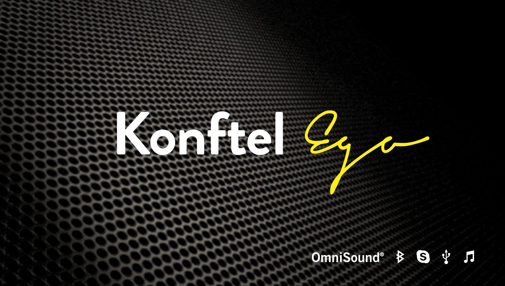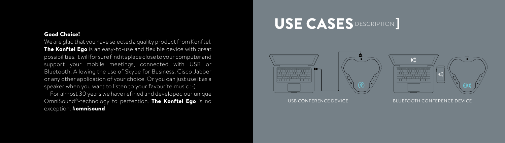### Good Choice!

We are glad that you have selected a quality product from Konftel. The Konftel Ego is an easy-to-use and flexible device with great possibilities. It will for sure find its place close to your computer and support your mobile meetings, connected with USB or Bluetooth. Allowing the use of Skype for Business, Cisco Jabber or any other application of your choice. Or you can just use it as a speaker when you want to listen to your favourite music :-) For almost 30 years we have refined and developed our unique OmniSound®-technology to perfection. The Konftel Ego is no exception. #omnisound

## I USE CASES DESCRIPTION ]



USB CONFERENCE DEVICE BLUETOOTH CONFERENCE DEVICE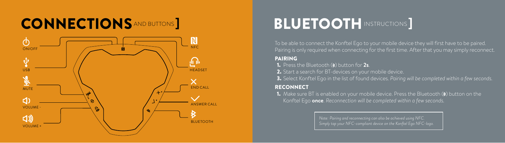# **CONNECTIONS** AND BUTTONS **IN EXAMPLE 100 BLUETOOTH** INSTRUCTIONS ]



To be able to connect the Konftel Ego to your mobile device they will first have to be paired. Pairing is only required when connecting for the first time. After that you may simply reconnect.

## PAIRING

**1.** Press the Bluetooth (**8**) button for 2s.

2. Start a search for BT-devices on your mobile device.

3. Select Konftel Ego in the list of found devices. *Pairing will be completed within a few seconds.*

## **RECONNECT**

**1.** Make sure BT is enabled on your mobile device. Press the Bluetooth  $(\epsilon)$  button on the Konftel Ego **once**. *Reconnection will be completed within a few seconds.*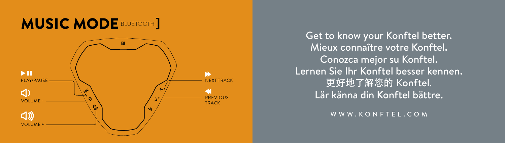

Get to know your Konftel better. Mieux connaître votre Konftel. Conozca mejor su Konftel. Lernen Sie Ihr Konftel besser kennen. 更好地了解您的 Konftel. Lär känna din Konftel bättre.

WWW.KONFTEL.COM